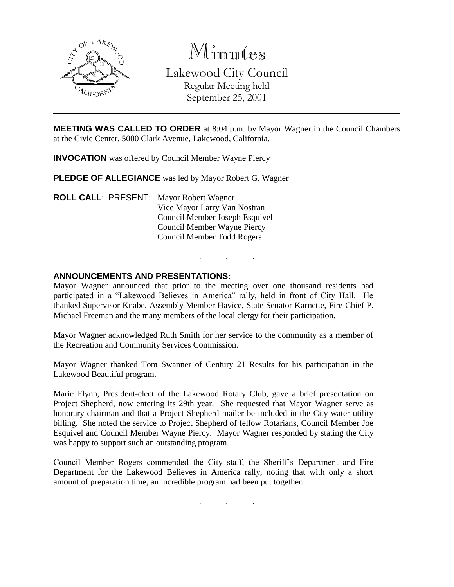

Minutes Lakewood City Council Regular Meeting held September 25, 2001

**MEETING WAS CALLED TO ORDER** at 8:04 p.m. by Mayor Wagner in the Council Chambers at the Civic Center, 5000 Clark Avenue, Lakewood, California.

**INVOCATION** was offered by Council Member Wayne Piercy

**PLEDGE OF ALLEGIANCE** was led by Mayor Robert G. Wagner

**ROLL CALL**: PRESENT: Mayor Robert Wagner Vice Mayor Larry Van Nostran Council Member Joseph Esquivel Council Member Wayne Piercy Council Member Todd Rogers

#### **ANNOUNCEMENTS AND PRESENTATIONS:**

Mayor Wagner announced that prior to the meeting over one thousand residents had participated in a "Lakewood Believes in America" rally, held in front of City Hall. He thanked Supervisor Knabe, Assembly Member Havice, State Senator Karnette, Fire Chief P. Michael Freeman and the many members of the local clergy for their participation.

. . .

Mayor Wagner acknowledged Ruth Smith for her service to the community as a member of the Recreation and Community Services Commission.

Mayor Wagner thanked Tom Swanner of Century 21 Results for his participation in the Lakewood Beautiful program.

Marie Flynn, President-elect of the Lakewood Rotary Club, gave a brief presentation on Project Shepherd, now entering its 29th year. She requested that Mayor Wagner serve as honorary chairman and that a Project Shepherd mailer be included in the City water utility billing. She noted the service to Project Shepherd of fellow Rotarians, Council Member Joe Esquivel and Council Member Wayne Piercy. Mayor Wagner responded by stating the City was happy to support such an outstanding program.

Council Member Rogers commended the City staff, the Sheriff's Department and Fire Department for the Lakewood Believes in America rally, noting that with only a short amount of preparation time, an incredible program had been put together.

. . .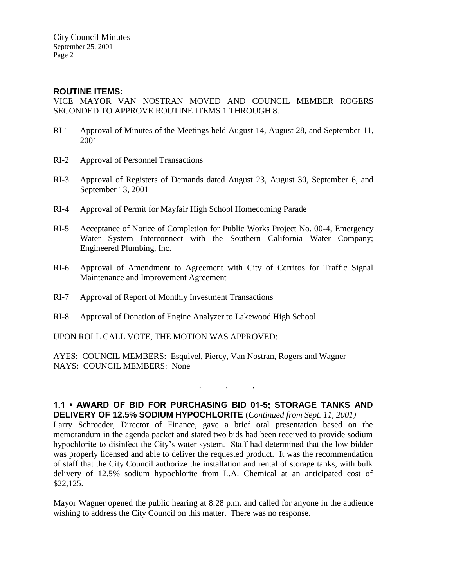City Council Minutes September 25, 2001 Page 2

## **ROUTINE ITEMS:**

VICE MAYOR VAN NOSTRAN MOVED AND COUNCIL MEMBER ROGERS SECONDED TO APPROVE ROUTINE ITEMS 1 THROUGH 8.

- RI-1 Approval of Minutes of the Meetings held August 14, August 28, and September 11, 2001
- RI-2 Approval of Personnel Transactions
- RI-3 Approval of Registers of Demands dated August 23, August 30, September 6, and September 13, 2001
- RI-4 Approval of Permit for Mayfair High School Homecoming Parade
- RI-5 Acceptance of Notice of Completion for Public Works Project No. 00-4, Emergency Water System Interconnect with the Southern California Water Company; Engineered Plumbing, Inc.
- RI-6 Approval of Amendment to Agreement with City of Cerritos for Traffic Signal Maintenance and Improvement Agreement
- RI-7 Approval of Report of Monthly Investment Transactions
- RI-8 Approval of Donation of Engine Analyzer to Lakewood High School

UPON ROLL CALL VOTE, THE MOTION WAS APPROVED:

AYES: COUNCIL MEMBERS: Esquivel, Piercy, Van Nostran, Rogers and Wagner NAYS: COUNCIL MEMBERS: None

#### **1.1 • AWARD OF BID FOR PURCHASING BID 01-5; STORAGE TANKS AND DELIVERY OF 12.5% SODIUM HYPOCHLORITE** (*Continued from Sept. 11, 2001)*

. . .

Larry Schroeder, Director of Finance, gave a brief oral presentation based on the memorandum in the agenda packet and stated two bids had been received to provide sodium hypochlorite to disinfect the City's water system. Staff had determined that the low bidder was properly licensed and able to deliver the requested product. It was the recommendation of staff that the City Council authorize the installation and rental of storage tanks, with bulk delivery of 12.5% sodium hypochlorite from L.A. Chemical at an anticipated cost of \$22,125.

Mayor Wagner opened the public hearing at 8:28 p.m. and called for anyone in the audience wishing to address the City Council on this matter. There was no response.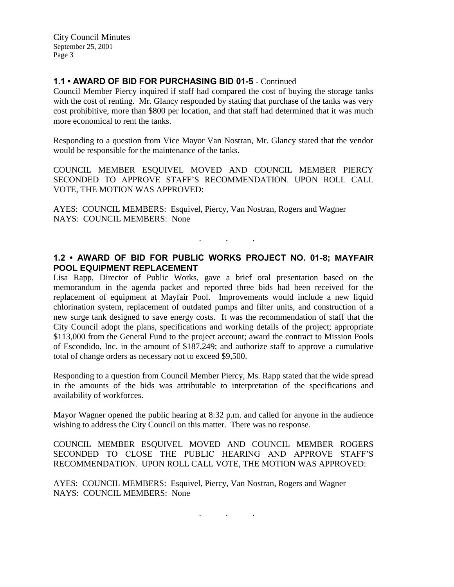City Council Minutes September 25, 2001 Page 3

## **1.1 • AWARD OF BID FOR PURCHASING BID 01-5** - Continued

Council Member Piercy inquired if staff had compared the cost of buying the storage tanks with the cost of renting. Mr. Glancy responded by stating that purchase of the tanks was very cost prohibitive, more than \$800 per location, and that staff had determined that it was much more economical to rent the tanks.

Responding to a question from Vice Mayor Van Nostran, Mr. Glancy stated that the vendor would be responsible for the maintenance of the tanks.

COUNCIL MEMBER ESQUIVEL MOVED AND COUNCIL MEMBER PIERCY SECONDED TO APPROVE STAFF'S RECOMMENDATION. UPON ROLL CALL VOTE, THE MOTION WAS APPROVED:

AYES: COUNCIL MEMBERS: Esquivel, Piercy, Van Nostran, Rogers and Wagner NAYS: COUNCIL MEMBERS: None

## **1.2 • AWARD OF BID FOR PUBLIC WORKS PROJECT NO. 01-8; MAYFAIR POOL EQUIPMENT REPLACEMENT**

. . .

Lisa Rapp, Director of Public Works, gave a brief oral presentation based on the memorandum in the agenda packet and reported three bids had been received for the replacement of equipment at Mayfair Pool. Improvements would include a new liquid chlorination system, replacement of outdated pumps and filter units, and construction of a new surge tank designed to save energy costs. It was the recommendation of staff that the City Council adopt the plans, specifications and working details of the project; appropriate \$113,000 from the General Fund to the project account; award the contract to Mission Pools of Escondido, Inc. in the amount of \$187,249; and authorize staff to approve a cumulative total of change orders as necessary not to exceed \$9,500.

Responding to a question from Council Member Piercy, Ms. Rapp stated that the wide spread in the amounts of the bids was attributable to interpretation of the specifications and availability of workforces.

Mayor Wagner opened the public hearing at 8:32 p.m. and called for anyone in the audience wishing to address the City Council on this matter. There was no response.

COUNCIL MEMBER ESQUIVEL MOVED AND COUNCIL MEMBER ROGERS SECONDED TO CLOSE THE PUBLIC HEARING AND APPROVE STAFF'S RECOMMENDATION. UPON ROLL CALL VOTE, THE MOTION WAS APPROVED:

. . .

AYES: COUNCIL MEMBERS: Esquivel, Piercy, Van Nostran, Rogers and Wagner NAYS: COUNCIL MEMBERS: None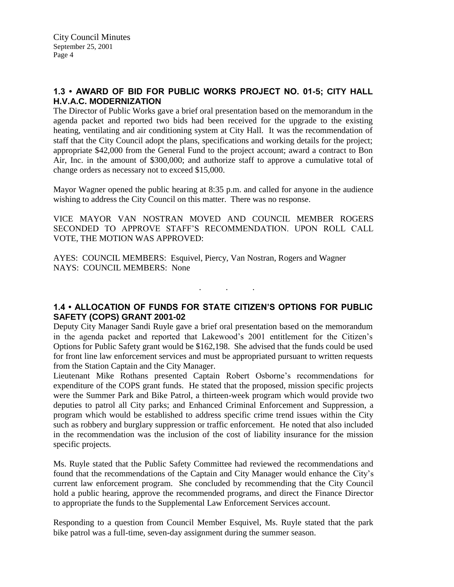# **1.3 • AWARD OF BID FOR PUBLIC WORKS PROJECT NO. 01-5; CITY HALL H.V.A.C. MODERNIZATION**

The Director of Public Works gave a brief oral presentation based on the memorandum in the agenda packet and reported two bids had been received for the upgrade to the existing heating, ventilating and air conditioning system at City Hall. It was the recommendation of staff that the City Council adopt the plans, specifications and working details for the project; appropriate \$42,000 from the General Fund to the project account; award a contract to Bon Air, Inc. in the amount of \$300,000; and authorize staff to approve a cumulative total of change orders as necessary not to exceed \$15,000.

Mayor Wagner opened the public hearing at 8:35 p.m. and called for anyone in the audience wishing to address the City Council on this matter. There was no response.

VICE MAYOR VAN NOSTRAN MOVED AND COUNCIL MEMBER ROGERS SECONDED TO APPROVE STAFF'S RECOMMENDATION. UPON ROLL CALL VOTE, THE MOTION WAS APPROVED:

AYES: COUNCIL MEMBERS: Esquivel, Piercy, Van Nostran, Rogers and Wagner NAYS: COUNCIL MEMBERS: None

#### **1.4 • ALLOCATION OF FUNDS FOR STATE CITIZEN'S OPTIONS FOR PUBLIC SAFETY (COPS) GRANT 2001-02**

. . .

Deputy City Manager Sandi Ruyle gave a brief oral presentation based on the memorandum in the agenda packet and reported that Lakewood's 2001 entitlement for the Citizen's Options for Public Safety grant would be \$162,198. She advised that the funds could be used for front line law enforcement services and must be appropriated pursuant to written requests from the Station Captain and the City Manager.

Lieutenant Mike Rothans presented Captain Robert Osborne's recommendations for expenditure of the COPS grant funds. He stated that the proposed, mission specific projects were the Summer Park and Bike Patrol, a thirteen-week program which would provide two deputies to patrol all City parks; and Enhanced Criminal Enforcement and Suppression, a program which would be established to address specific crime trend issues within the City such as robbery and burglary suppression or traffic enforcement. He noted that also included in the recommendation was the inclusion of the cost of liability insurance for the mission specific projects.

Ms. Ruyle stated that the Public Safety Committee had reviewed the recommendations and found that the recommendations of the Captain and City Manager would enhance the City's current law enforcement program. She concluded by recommending that the City Council hold a public hearing, approve the recommended programs, and direct the Finance Director to appropriate the funds to the Supplemental Law Enforcement Services account.

Responding to a question from Council Member Esquivel, Ms. Ruyle stated that the park bike patrol was a full-time, seven-day assignment during the summer season.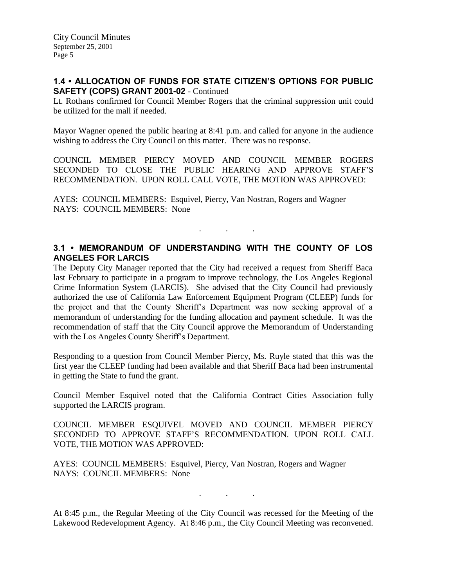## **1.4 • ALLOCATION OF FUNDS FOR STATE CITIZEN'S OPTIONS FOR PUBLIC SAFETY (COPS) GRANT 2001-02** - Continued

Lt. Rothans confirmed for Council Member Rogers that the criminal suppression unit could be utilized for the mall if needed.

Mayor Wagner opened the public hearing at 8:41 p.m. and called for anyone in the audience wishing to address the City Council on this matter. There was no response.

COUNCIL MEMBER PIERCY MOVED AND COUNCIL MEMBER ROGERS SECONDED TO CLOSE THE PUBLIC HEARING AND APPROVE STAFF'S RECOMMENDATION. UPON ROLL CALL VOTE, THE MOTION WAS APPROVED:

AYES: COUNCIL MEMBERS: Esquivel, Piercy, Van Nostran, Rogers and Wagner NAYS: COUNCIL MEMBERS: None

# **3.1 • MEMORANDUM OF UNDERSTANDING WITH THE COUNTY OF LOS ANGELES FOR LARCIS**

. The same is a set of  $\mathcal{A}$  , and  $\mathcal{A}$ 

The Deputy City Manager reported that the City had received a request from Sheriff Baca last February to participate in a program to improve technology, the Los Angeles Regional Crime Information System (LARCIS). She advised that the City Council had previously authorized the use of California Law Enforcement Equipment Program (CLEEP) funds for the project and that the County Sheriff's Department was now seeking approval of a memorandum of understanding for the funding allocation and payment schedule. It was the recommendation of staff that the City Council approve the Memorandum of Understanding with the Los Angeles County Sheriff's Department.

Responding to a question from Council Member Piercy, Ms. Ruyle stated that this was the first year the CLEEP funding had been available and that Sheriff Baca had been instrumental in getting the State to fund the grant.

Council Member Esquivel noted that the California Contract Cities Association fully supported the LARCIS program.

COUNCIL MEMBER ESQUIVEL MOVED AND COUNCIL MEMBER PIERCY SECONDED TO APPROVE STAFF'S RECOMMENDATION. UPON ROLL CALL VOTE, THE MOTION WAS APPROVED:

AYES: COUNCIL MEMBERS: Esquivel, Piercy, Van Nostran, Rogers and Wagner NAYS: COUNCIL MEMBERS: None

. . .

At 8:45 p.m., the Regular Meeting of the City Council was recessed for the Meeting of the Lakewood Redevelopment Agency. At 8:46 p.m., the City Council Meeting was reconvened.